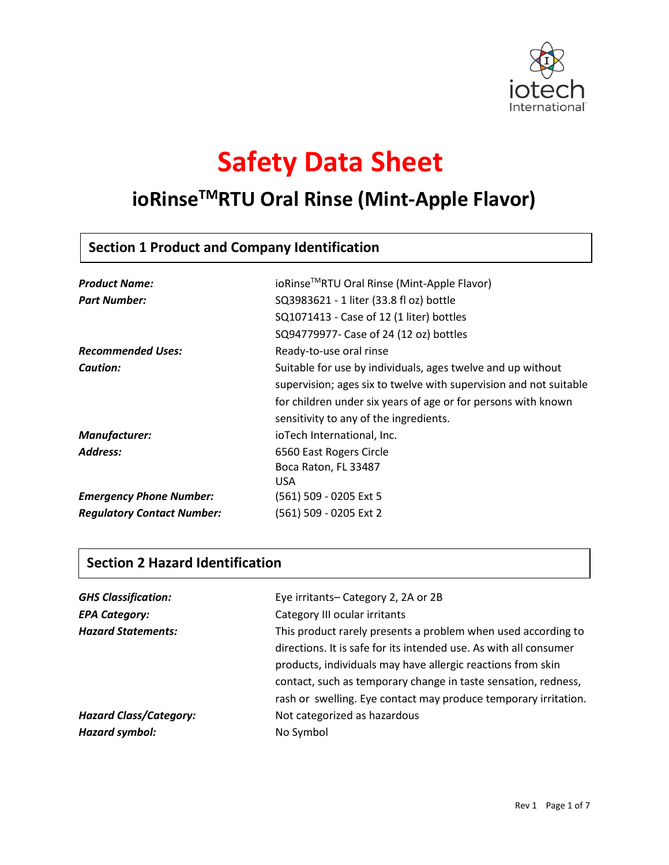

# **Safety Data Sheet**

## **ioRinseTMRTU Oral Rinse (Mint-Apple Flavor)**

## **Section 1 Product and Company Identification**

| <b>Product Name:</b>              | ioRinse™RTU Oral Rinse (Mint-Apple Flavor)                        |
|-----------------------------------|-------------------------------------------------------------------|
| <b>Part Number:</b>               | SQ3983621 - 1 liter (33.8 fl oz) bottle                           |
|                                   | SQ1071413 - Case of 12 (1 liter) bottles                          |
|                                   | SQ94779977- Case of 24 (12 oz) bottles                            |
| <b>Recommended Uses:</b>          | Ready-to-use oral rinse                                           |
| Caution:                          | Suitable for use by individuals, ages twelve and up without       |
|                                   | supervision; ages six to twelve with supervision and not suitable |
|                                   | for children under six years of age or for persons with known     |
|                                   | sensitivity to any of the ingredients.                            |
| Manufacturer:                     | ioTech International, Inc.                                        |
| Address:                          | 6560 East Rogers Circle                                           |
|                                   | Boca Raton, FL 33487                                              |
|                                   | <b>USA</b>                                                        |
| <b>Emergency Phone Number:</b>    | (561) 509 - 0205 Ext 5                                            |
| <b>Regulatory Contact Number:</b> | (561) 509 - 0205 Ext 2                                            |

## **Section 2 Hazard Identification**

| <b>GHS Classification:</b>    | Eye irritants-Category 2, 2A or 2B                                |
|-------------------------------|-------------------------------------------------------------------|
| <b>EPA Category:</b>          | Category III ocular irritants                                     |
| <b>Hazard Statements:</b>     | This product rarely presents a problem when used according to     |
|                               | directions. It is safe for its intended use. As with all consumer |
|                               | products, individuals may have allergic reactions from skin       |
|                               | contact, such as temporary change in taste sensation, redness,    |
|                               | rash or swelling. Eye contact may produce temporary irritation.   |
| <b>Hazard Class/Category:</b> | Not categorized as hazardous                                      |
| Hazard symbol:                | No Symbol                                                         |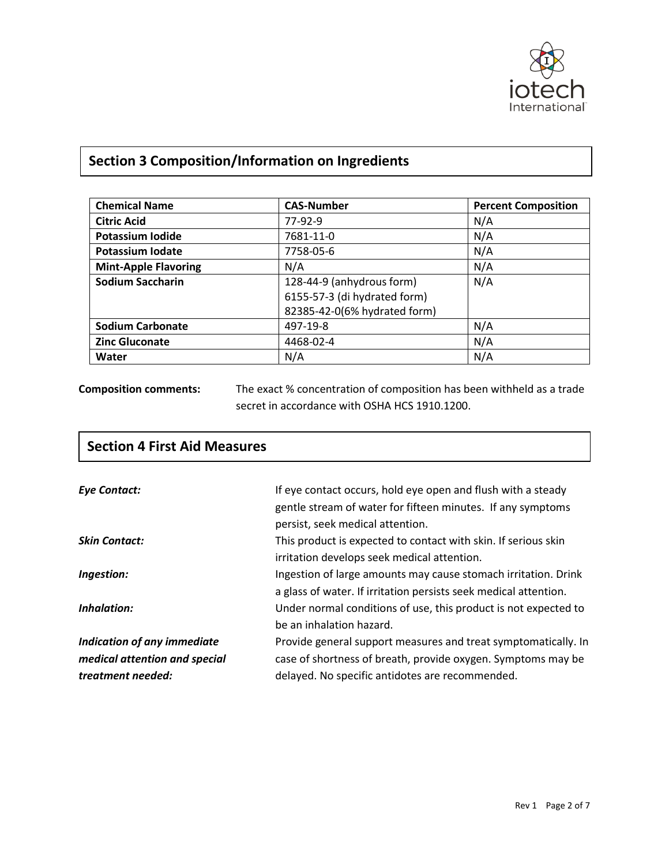

## **Section 3 Composition/Information on Ingredients**

| <b>Chemical Name</b>        | <b>CAS-Number</b>            | <b>Percent Composition</b> |
|-----------------------------|------------------------------|----------------------------|
| <b>Citric Acid</b>          | 77-92-9                      | N/A                        |
| Potassium Iodide            | 7681-11-0                    | N/A                        |
| <b>Potassium Iodate</b>     | 7758-05-6                    | N/A                        |
| <b>Mint-Apple Flavoring</b> | N/A                          | N/A                        |
| <b>Sodium Saccharin</b>     | 128-44-9 (anhydrous form)    | N/A                        |
|                             | 6155-57-3 (di hydrated form) |                            |
|                             | 82385-42-0(6% hydrated form) |                            |
| <b>Sodium Carbonate</b>     | 497-19-8                     | N/A                        |
| <b>Zinc Gluconate</b>       | 4468-02-4                    | N/A                        |
| Water                       | N/A                          | N/A                        |

**Composition comments:** The exact % concentration of composition has been withheld as a trade secret in accordance with OSHA HCS 1910.1200.

| <b>Section 4 First Aid Measures</b>                                               |                                                                                                                                                                                   |
|-----------------------------------------------------------------------------------|-----------------------------------------------------------------------------------------------------------------------------------------------------------------------------------|
| <b>Eye Contact:</b>                                                               | If eye contact occurs, hold eye open and flush with a steady<br>gentle stream of water for fifteen minutes. If any symptoms<br>persist, seek medical attention.                   |
| <b>Skin Contact:</b>                                                              | This product is expected to contact with skin. If serious skin<br>irritation develops seek medical attention.                                                                     |
| Ingestion:                                                                        | Ingestion of large amounts may cause stomach irritation. Drink<br>a glass of water. If irritation persists seek medical attention.                                                |
| Inhalation:                                                                       | Under normal conditions of use, this product is not expected to<br>be an inhalation hazard.                                                                                       |
| Indication of any immediate<br>medical attention and special<br>treatment needed: | Provide general support measures and treat symptomatically. In<br>case of shortness of breath, provide oxygen. Symptoms may be<br>delayed. No specific antidotes are recommended. |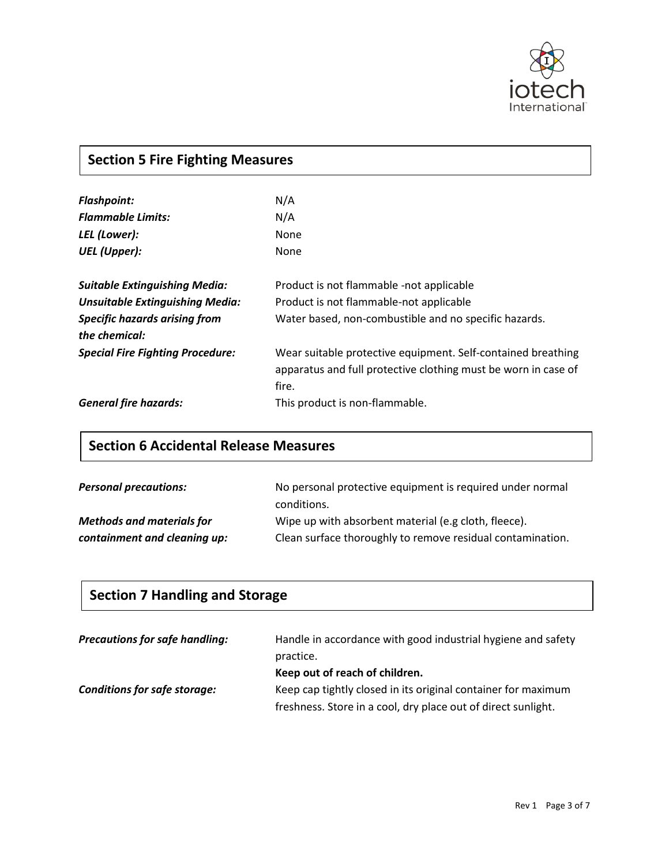

## **Section 5 Fire Fighting Measures**

| <b>Flashpoint:</b><br><b>Flammable Limits:</b><br>LEL (Lower):                                                                          | N/A<br>N/A<br>None                                                                                                                           |
|-----------------------------------------------------------------------------------------------------------------------------------------|----------------------------------------------------------------------------------------------------------------------------------------------|
| <b>UEL</b> (Upper):                                                                                                                     | None                                                                                                                                         |
| <b>Suitable Extinguishing Media:</b><br><b>Unsuitable Extinguishing Media:</b><br><b>Specific hazards arising from</b><br>the chemical: | Product is not flammable -not applicable<br>Product is not flammable-not applicable<br>Water based, non-combustible and no specific hazards. |
| <b>Special Fire Fighting Procedure:</b>                                                                                                 | Wear suitable protective equipment. Self-contained breathing<br>apparatus and full protective clothing must be worn in case of<br>fire.      |
| <b>General fire hazards:</b>                                                                                                            | This product is non-flammable.                                                                                                               |

## **Section 6 Accidental Release Measures**

| <b>Personal precautions:</b>     | No personal protective equipment is required under normal  |
|----------------------------------|------------------------------------------------------------|
|                                  | conditions.                                                |
| <b>Methods and materials for</b> | Wipe up with absorbent material (e.g cloth, fleece).       |
| containment and cleaning up:     | Clean surface thoroughly to remove residual contamination. |

## **Section 7 Handling and Storage**

| <b>Precautions for safe handling:</b> | Handle in accordance with good industrial hygiene and safety<br>practice.                                                      |
|---------------------------------------|--------------------------------------------------------------------------------------------------------------------------------|
|                                       | Keep out of reach of children.                                                                                                 |
| <b>Conditions for safe storage:</b>   | Keep cap tightly closed in its original container for maximum<br>freshness. Store in a cool, dry place out of direct sunlight. |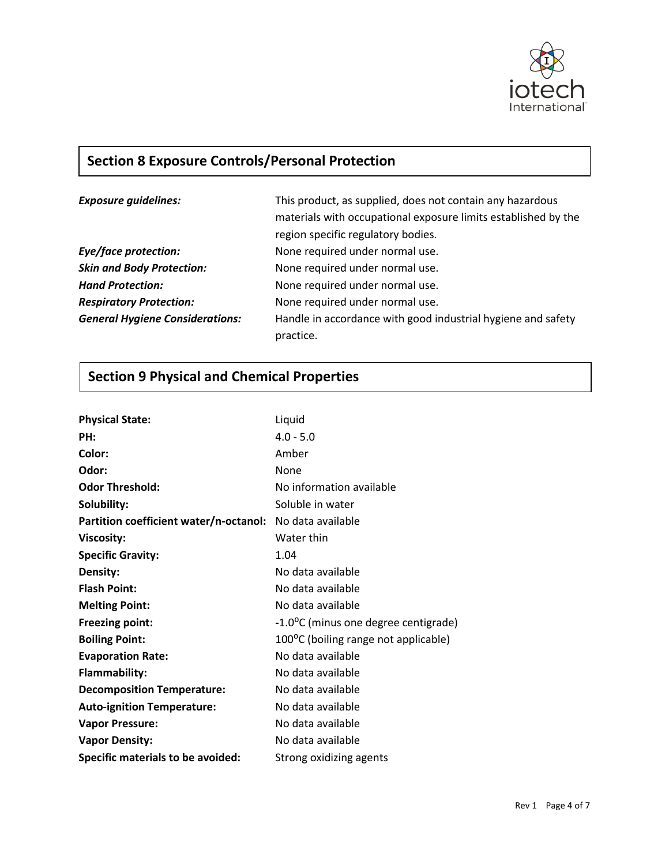

## **Section 8 Exposure Controls/Personal Protection**

| <b>Exposure guidelines:</b>            | This product, as supplied, does not contain any hazardous<br>materials with occupational exposure limits established by the<br>region specific regulatory bodies. |
|----------------------------------------|-------------------------------------------------------------------------------------------------------------------------------------------------------------------|
| Eye/face protection:                   | None required under normal use.                                                                                                                                   |
| <b>Skin and Body Protection:</b>       | None required under normal use.                                                                                                                                   |
| <b>Hand Protection:</b>                | None required under normal use.                                                                                                                                   |
| <b>Respiratory Protection:</b>         | None required under normal use.                                                                                                                                   |
| <b>General Hygiene Considerations:</b> | Handle in accordance with good industrial hygiene and safety<br>practice.                                                                                         |

## **Section 9 Physical and Chemical Properties**

| <b>Physical State:</b>                                   | Liquid                               |
|----------------------------------------------------------|--------------------------------------|
| PH:                                                      | $4.0 - 5.0$                          |
| Color:                                                   | Amber                                |
| Odor:                                                    | None                                 |
| <b>Odor Threshold:</b>                                   | No information available             |
| Solubility:                                              | Soluble in water                     |
| Partition coefficient water/n-octanol: No data available |                                      |
| <b>Viscosity:</b>                                        | Water thin                           |
| <b>Specific Gravity:</b>                                 | 1.04                                 |
| Density:                                                 | No data available                    |
| <b>Flash Point:</b>                                      | No data available                    |
| <b>Melting Point:</b>                                    | No data available                    |
| <b>Freezing point:</b>                                   | -1.0°C (minus one degree centigrade) |
| <b>Boiling Point:</b>                                    | 100°C (boiling range not applicable) |
| <b>Evaporation Rate:</b>                                 | No data available                    |
| <b>Flammability:</b>                                     | No data available                    |
| <b>Decomposition Temperature:</b>                        | No data available                    |
| <b>Auto-ignition Temperature:</b>                        | No data available                    |
| <b>Vapor Pressure:</b>                                   | No data available                    |
| <b>Vapor Density:</b>                                    | No data available                    |
| Specific materials to be avoided:                        | Strong oxidizing agents              |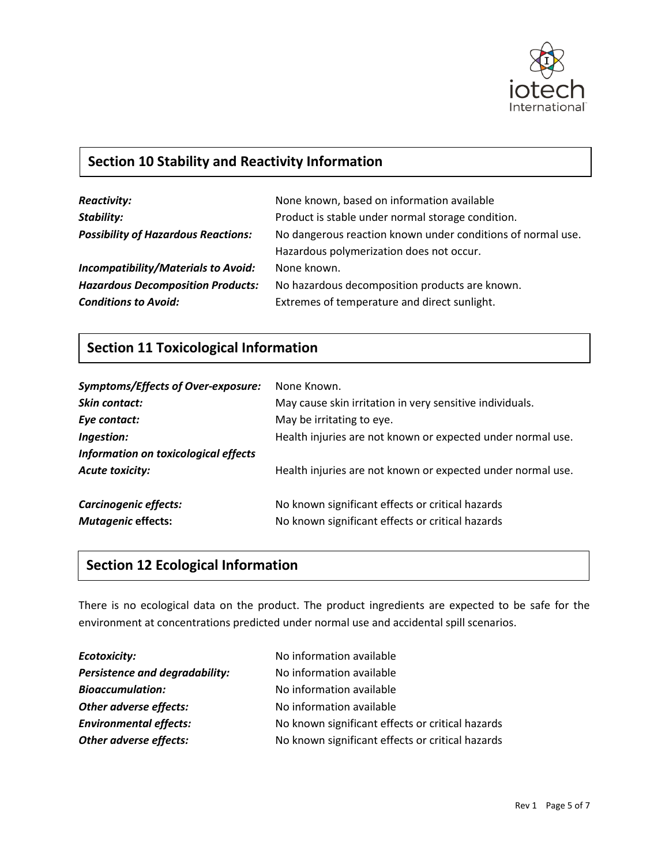

## **Section 10 Stability and Reactivity Information**

| <b>Reactivity:</b>                         | None known, based on information available                                                              |
|--------------------------------------------|---------------------------------------------------------------------------------------------------------|
| <b>Stability:</b>                          | Product is stable under normal storage condition.                                                       |
| <b>Possibility of Hazardous Reactions:</b> | No dangerous reaction known under conditions of normal use.<br>Hazardous polymerization does not occur. |
| <b>Incompatibility/Materials to Avoid:</b> | None known.                                                                                             |
| <b>Hazardous Decomposition Products:</b>   | No hazardous decomposition products are known.                                                          |
| <b>Conditions to Avoid:</b>                | Extremes of temperature and direct sunlight.                                                            |

## **Section 11 Toxicological Information**

| <b>Symptoms/Effects of Over-exposure:</b><br><b>Skin contact:</b><br>Eye contact:<br>Ingestion:<br>Information on toxicological effects | None Known.<br>May cause skin irritation in very sensitive individuals.<br>May be irritating to eye.<br>Health injuries are not known or expected under normal use. |
|-----------------------------------------------------------------------------------------------------------------------------------------|---------------------------------------------------------------------------------------------------------------------------------------------------------------------|
| <b>Acute toxicity:</b>                                                                                                                  | Health injuries are not known or expected under normal use.                                                                                                         |
| Carcinogenic effects:<br><b>Mutagenic effects:</b>                                                                                      | No known significant effects or critical hazards<br>No known significant effects or critical hazards                                                                |

## **Section 12 Ecological Information**

There is no ecological data on the product. The product ingredients are expected to be safe for the environment at concentrations predicted under normal use and accidental spill scenarios.

| No information available                         |
|--------------------------------------------------|
| No information available                         |
| No information available                         |
| No information available                         |
| No known significant effects or critical hazards |
| No known significant effects or critical hazards |
|                                                  |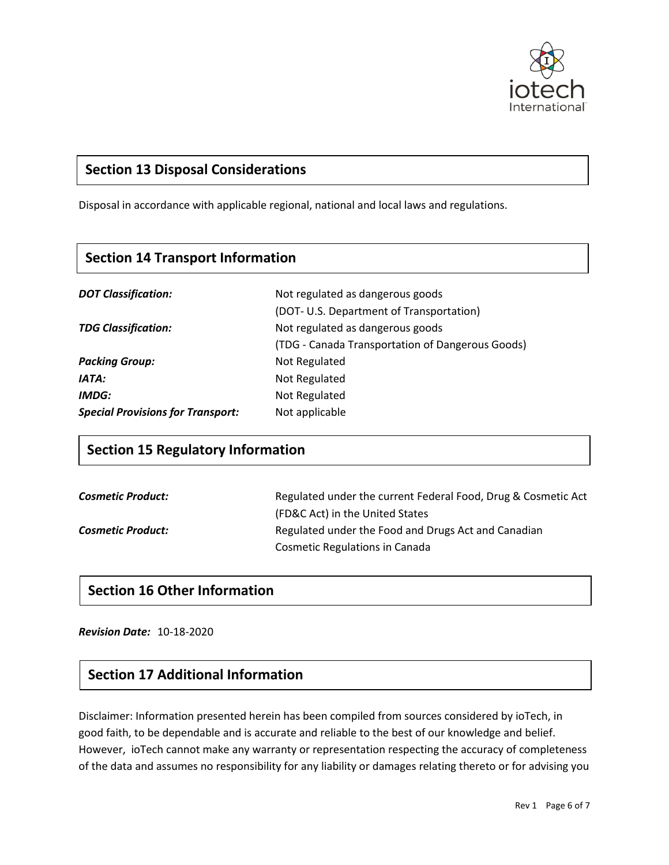

## **Section 13 Disposal Considerations**

Disposal in accordance with applicable regional, national and local laws and regulations.<br> **Section 5 Fighting** 

#### **Section 14 Transport Information**

| <b>DOT Classification:</b>               | Not regulated as dangerous goods                 |
|------------------------------------------|--------------------------------------------------|
|                                          | (DOT- U.S. Department of Transportation)         |
| <b>TDG Classification:</b>               | Not regulated as dangerous goods                 |
|                                          | (TDG - Canada Transportation of Dangerous Goods) |
| <b>Packing Group:</b>                    | Not Regulated                                    |
| IATA:                                    | Not Regulated                                    |
| IMDG:                                    | Not Regulated                                    |
| <b>Special Provisions for Transport:</b> | Not applicable                                   |

#### **Section 15 Regulatory Information**

| <b>Cosmetic Product:</b> | Regulated under the current Federal Food, Drug & Cosmetic Act |
|--------------------------|---------------------------------------------------------------|
|                          | (FD&C Act) in the United States                               |
| <b>Cosmetic Product:</b> | Regulated under the Food and Drugs Act and Canadian           |
|                          | <b>Cosmetic Regulations in Canada</b>                         |

#### **Section 16 Other Information**

*Revision Date:* 10-18-2020

#### **Section 17 Additional Information**

Disclaimer: Information presented herein has been compiled from sources considered by ioTech, in good faith, to be dependable and is accurate and reliable to the best of our knowledge and belief. However, ioTech cannot make any warranty or representation respecting the accuracy of completeness of the data and assumes no responsibility for any liability or damages relating thereto or for advising you